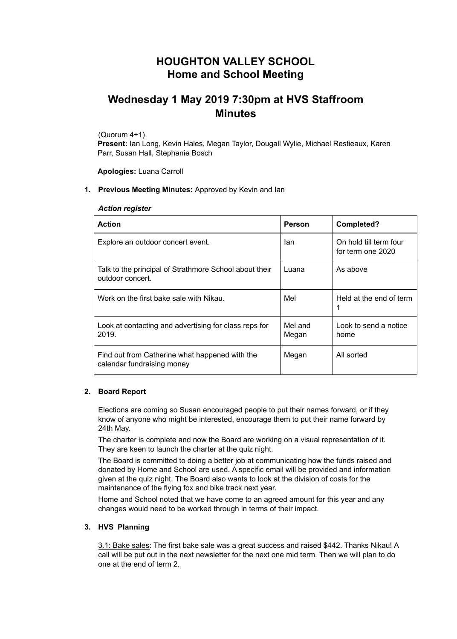## **HOUGHTON VALLEY SCHOOL Home and School Meeting**

# **Wednesday 1 May 2019 7:30pm at HVS Staffroom Minutes**

(Quorum 4+1)

**Present:** Ian Long, Kevin Hales, Megan Taylor, Dougall Wylie, Michael Restieaux, Karen Parr, Susan Hall, Stephanie Bosch

**Apologies:** Luana Carroll

## **1. Previous Meeting Minutes:** Approved by Kevin and Ian

## *Action register*

| <b>Action</b>                                                                | <b>Person</b>    | Completed?                                  |
|------------------------------------------------------------------------------|------------------|---------------------------------------------|
| Explore an outdoor concert event.                                            | lan              | On hold till term four<br>for term one 2020 |
| Talk to the principal of Strathmore School about their<br>outdoor concert.   | Luana            | As above                                    |
| Work on the first bake sale with Nikau.                                      | Mel              | Held at the end of term                     |
| Look at contacting and advertising for class reps for<br>2019.               | Mel and<br>Megan | Look to send a notice<br>home               |
| Find out from Catherine what happened with the<br>calendar fundraising money | Megan            | All sorted                                  |

## **2. Board Report**

Elections are coming so Susan encouraged people to put their names forward, or if they know of anyone who might be interested, encourage them to put their name forward by 24th May.

The charter is complete and now the Board are working on a visual representation of it. They are keen to launch the charter at the quiz night.

The Board is committed to doing a better job at communicating how the funds raised and donated by Home and School are used. A specific email will be provided and information given at the quiz night. The Board also wants to look at the division of costs for the maintenance of the flying fox and bike track next year.

Home and School noted that we have come to an agreed amount for this year and any changes would need to be worked through in terms of their impact.

## **3. HVS Planning**

3.1: Bake sales: The first bake sale was a great success and raised \$442. Thanks Nikau! A call will be put out in the next newsletter for the next one mid term. Then we will plan to do one at the end of term 2.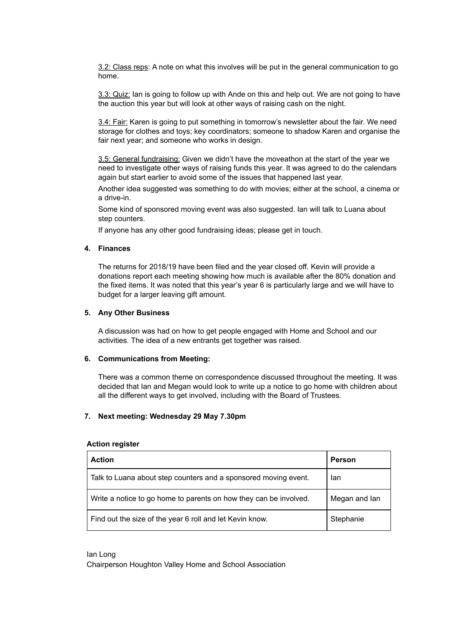3.2: Class reps: A note on what this involves will be put in the general communication to go home.

3.3: Quiz: Ian is going to follow up with Ande on this and help out. We are not going to have the auction this year but will look at other ways of raising cash on the night.

3.4: Fair: Karen is going to put something in tomorrow's newsletter about the fair. We need storage for clothes and toys; key coordinators; someone to shadow Karen and organise the fair next year; and someone who works in design.

3.5: General fundraising: Given we didn't have the moveathon at the start of the year we need to investigate other ways of raising funds this year. It was agreed to do the calendars again but start earlier to avoid some of the issues that happened last year.

Another idea suggested was something to do with movies; either at the school, a cinema or a drive-in.

Some kind of sponsored moving event was also suggested. Ian will talk to Luana about step counters.

If anyone has any other good fundraising ideas; please get in touch.

### **4. Finances**

The returns for 2018/19 have been filed and the year closed off. Kevin will provide a donations report each meeting showing how much is available after the 80% donation and the fixed items. It was noted that this year's year 6 is particularly large and we will have to budget for a larger leaving gift amount.

### **5. Any Other Business**

A discussion was had on how to get people engaged with Home and School and our activities. The idea of a new entrants get together was raised.

## **6. Communications from Meeting:**

There was a common theme on correspondence discussed throughout the meeting. It was decided that Ian and Megan would look to write up a notice to go home with children about all the different ways to get involved, including with the Board of Trustees.

## **7. Next meeting: Wednesday 29 May 7.30pm**

#### **Action register**

| <b>Action</b>                                                     | Person        |
|-------------------------------------------------------------------|---------------|
| Talk to Luana about step counters and a sponsored moving event.   | lan           |
| Write a notice to go home to parents on how they can be involved. | Megan and lan |
| Find out the size of the year 6 roll and let Kevin know.          | Stephanie     |

Ian Long

Chairperson Houghton Valley Home and School Association